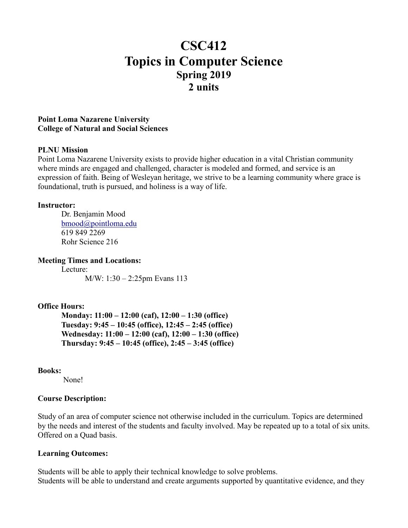# **CSC412 Topics in Computer Science Spring 2019 2 units**

## **Point Loma Nazarene University College of Natural and Social Sciences**

## **PLNU Mission**

Point Loma Nazarene University exists to provide higher education in a vital Christian community where minds are engaged and challenged, character is modeled and formed, and service is an expression of faith. Being of Wesleyan heritage, we strive to be a learning community where grace is foundational, truth is pursued, and holiness is a way of life.

#### **Instructor:**

Dr. Benjamin Mood [bmood@pointloma.edu](mailto:bmood@pointloma.edu) 619 849 2269 Rohr Science 216

**Meeting Times and Locations:**

Lecture: M/W: 1:30 – 2:25pm Evans 113

# **Office Hours:**

**Monday: 11:00 – 12:00 (caf), 12:00 – 1:30 (office) Tuesday: 9:45 – 10:45 (office), 12:45 – 2:45 (office) Wednesday: 11:00 – 12:00 (caf), 12:00 – 1:30 (office) Thursday: 9:45 – 10:45 (office), 2:45 – 3:45 (office)**

## **Books:**

None!

## **Course Description:**

Study of an area of computer science not otherwise included in the curriculum. Topics are determined by the needs and interest of the students and faculty involved. May be repeated up to a total of six units. Offered on a Quad basis.

## **Learning Outcomes:**

Students will be able to apply their technical knowledge to solve problems. Students will be able to understand and create arguments supported by quantitative evidence, and they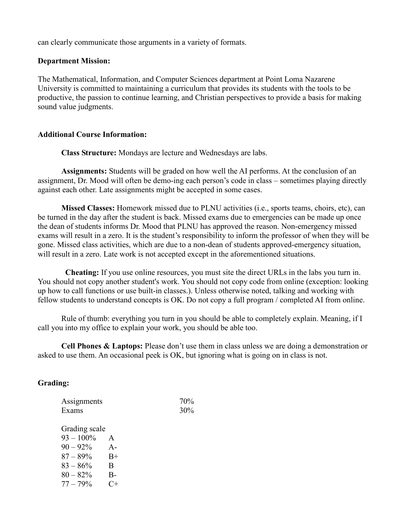can clearly communicate those arguments in a variety of formats.

## **Department Mission:**

The Mathematical, Information, and Computer Sciences department at Point Loma Nazarene University is committed to maintaining a curriculum that provides its students with the tools to be productive, the passion to continue learning, and Christian perspectives to provide a basis for making sound value judgments.

## **Additional Course Information:**

**Class Structure:** Mondays are lecture and Wednesdays are labs.

**Assignments:** Students will be graded on how well the AI performs. At the conclusion of an assignment, Dr. Mood will often be demo-ing each person's code in class – sometimes playing directly against each other. Late assignments might be accepted in some cases.

**Missed Classes:** Homework missed due to PLNU activities (i.e., sports teams, choirs, etc), can be turned in the day after the student is back. Missed exams due to emergencies can be made up once the dean of students informs Dr. Mood that PLNU has approved the reason. Non-emergency missed exams will result in a zero. It is the student's responsibility to inform the professor of when they will be gone. Missed class activities, which are due to a non-dean of students approved-emergency situation, will result in a zero. Late work is not accepted except in the aforementioned situations.

**Cheating:** If you use online resources, you must site the direct URLs in the labs you turn in. You should not copy another student's work. You should not copy code from online (exception: looking up how to call functions or use built-in classes.). Unless otherwise noted, talking and working with fellow students to understand concepts is OK. Do not copy a full program / completed AI from online.

Rule of thumb: everything you turn in you should be able to completely explain. Meaning, if I call you into my office to explain your work, you should be able too.

**Cell Phones & Laptops:** Please don't use them in class unless we are doing a demonstration or asked to use them. An occasional peek is OK, but ignoring what is going on in class is not.

## **Grading:**

| Assignments   | 70% |
|---------------|-----|
| Exams         | 30% |
|               |     |
| Grading scale |     |

 $93 - 100\%$  A  $90 - 92\%$  A- $87 - 89\%$  B+  $83 - 86\%$  B  $80 - 82\%$  B- $77 - 79\%$  C+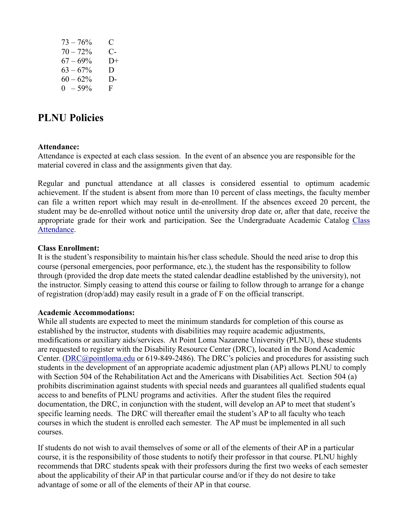| $73 - 76%$  | C.   |
|-------------|------|
| $70 - 72%$  | $C-$ |
| $67 - 69\%$ | $D+$ |
| $63 - 67\%$ | D.   |
| $60 - 62%$  | D-   |
| $0 - 59\%$  | F.   |

# **PLNU Policies**

#### **Attendance:**

Attendance is expected at each class session. In the event of an absence you are responsible for the material covered in class and the assignments given that day.

Regular and punctual attendance at all classes is considered essential to optimum academic achievement. If the student is absent from more than 10 percent of class meetings, the faculty member can file a written report which may result in de-enrollment. If the absences exceed 20 percent, the student may be de-enrolled without notice until the university drop date or, after that date, receive the appropriate grade for their work and participation. See the Undergraduate Academic Catalog [Class](https://catalog.pointloma.edu/content.php?catoid=35&navoid=2136#Class_Attendance)  [Attendance.](https://catalog.pointloma.edu/content.php?catoid=35&navoid=2136#Class_Attendance)

#### **Class Enrollment:**

It is the student's responsibility to maintain his/her class schedule. Should the need arise to drop this course (personal emergencies, poor performance, etc.), the student has the responsibility to follow through (provided the drop date meets the stated calendar deadline established by the university), not the instructor. Simply ceasing to attend this course or failing to follow through to arrange for a change of registration (drop/add) may easily result in a grade of F on the official transcript.

#### **Academic Accommodations:**

While all students are expected to meet the minimum standards for completion of this course as established by the instructor, students with disabilities may require academic adjustments, modifications or auxiliary aids/services. At Point Loma Nazarene University (PLNU), these students are requested to register with the Disability Resource Center (DRC), located in the Bond Academic Center. [\(DRC@pointloma.edu](mailto:DRC@pointloma.edu) or 619-849-2486). The DRC's policies and procedures for assisting such students in the development of an appropriate academic adjustment plan (AP) allows PLNU to comply with Section 504 of the Rehabilitation Act and the Americans with Disabilities Act. Section 504 (a) prohibits discrimination against students with special needs and guarantees all qualified students equal access to and benefits of PLNU programs and activities. After the student files the required documentation, the DRC, in conjunction with the student, will develop an AP to meet that student's specific learning needs. The DRC will thereafter email the student's AP to all faculty who teach courses in which the student is enrolled each semester. The AP must be implemented in all such courses.

If students do not wish to avail themselves of some or all of the elements of their AP in a particular course, it is the responsibility of those students to notify their professor in that course. PLNU highly recommends that DRC students speak with their professors during the first two weeks of each semester about the applicability of their AP in that particular course and/or if they do not desire to take advantage of some or all of the elements of their AP in that course.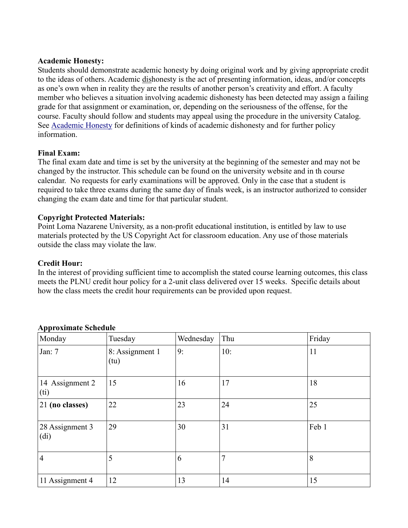## **Academic Honesty:**

Students should demonstrate academic honesty by doing original work and by giving appropriate credit to the ideas of others. Academic dishonesty is the act of presenting information, ideas, and/or concepts as one's own when in reality they are the results of another person's creativity and effort. A faculty member who believes a situation involving academic dishonesty has been detected may assign a failing grade for that assignment or examination, or, depending on the seriousness of the offense, for the course. Faculty should follow and students may appeal using the procedure in the university Catalog. See [Academic Honesty](https://catalog.pointloma.edu/content.php?catoid=35&navoid=2136#Academic_Honesty) for definitions of kinds of academic dishonesty and for further policy information.

## **Final Exam:**

The final exam date and time is set by the university at the beginning of the semester and may not be changed by the instructor. This schedule can be found on the university website and in th course calendar. No requests for early examinations will be approved. Only in the case that a student is required to take three exams during the same day of finals week, is an instructor authorized to consider changing the exam date and time for that particular student.

# **Copyright Protected Materials:**

Point Loma Nazarene University, as a non-profit educational institution, is entitled by law to use materials protected by the US Copyright Act for classroom education. Any use of those materials outside the class may violate the law.

## **Credit Hour:**

In the interest of providing sufficient time to accomplish the stated course learning outcomes, this class meets the PLNU credit hour policy for a 2-unit class delivered over 15 weeks. Specific details about how the class meets the credit hour requirements can be provided upon request.

| . .<br>Monday                        | Tuesday                 | Wednesday | Thu | Friday |
|--------------------------------------|-------------------------|-----------|-----|--------|
| Jan: 7                               | 8: Assignment 1<br>(tu) | 9:        | 10: | 11     |
| 14 Assignment 2<br>(ii)              | 15                      | 16        | 17  | 18     |
| 21 (no classes)                      | 22                      | 23        | 24  | 25     |
| 28 Assignment 3<br>(d <sub>i</sub> ) | 29                      | 30        | 31  | Feb 1  |
| $\overline{4}$                       | 5                       | 6         | 7   | 8      |
| 11 Assignment 4                      | 12                      | 13        | 14  | 15     |

## **Approximate Schedule**